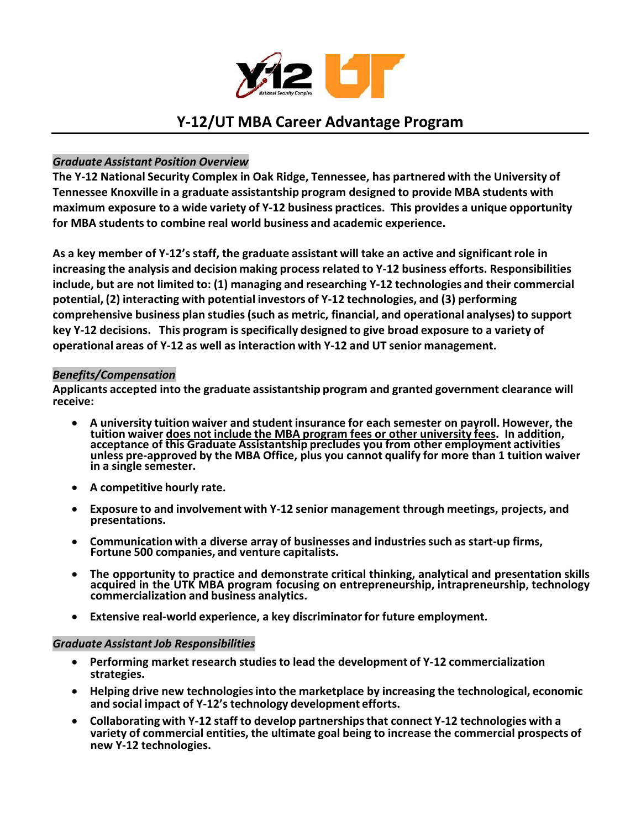

# **Y‐12/UT MBA Career Advantage Program**

## *Graduate Assistant Position Overview*

**The Y‐12 National Security Complex in Oak Ridge, Tennessee, has partnered with the University of Tennessee Knoxville in a graduate assistantship program designed to provide MBA students with maximum exposure to a wide variety of Y‐12 business practices. This provides a unique opportunity for MBA studentsto combine real world business and academic experience.**

As a key member of Y-12's staff, the graduate assistant will take an active and significant role in **increasing the analysis and decision making process related to Y‐12 business efforts. Responsibilities include, but are not limited to: (1) managing and researching Y‐12 technologies and their commercial potential, (2) interacting with potential investors of Y‐12 technologies, and (3) performing comprehensive business plan studies(such as metric, financial, and operational analyses) to support** key Y-12 decisions. This program is specifically designed to give broad exposure to a variety of **operational areas of Y‐12 as well as interaction with Y‐12 and UT senior management.**

#### *Benefits/Compensation*

**Applicants accepted into the graduate assistantship program and granted government clearance will receive:**

- **A university tuition waiver and student insurance for each semester on payroll. However, the tuition waiver does not include the MBA program fees or other university fees. In addition, acceptance of this Graduate Assistantship precludes you from other employment activities unless pre‐approved by the MBA Office, plus you cannot qualify for more than 1 tuition waiver in a single semester.**
- **A competitive hourly rate.**
- **Exposure to and involvement with Y‐12 senior management through meetings, projects, and presentations.**
- **Communication with a diverse array of businesses and industriessuch as start‐up firms, Fortune 500 companies, and venture capitalists.**
- **The opportunity to practice and demonstrate critical thinking, analytical and presentation skills acquired in the UTK MBA program focusing on entrepreneurship, intrapreneurship, technology commercialization and business analytics.**
- **Extensive real‐world experience, a key discriminatorfor future employment.**

#### *Graduate Assistant Job Responsibilities*

- **Performing market research studiesto lead the development of Y‐12 commercialization strategies.**
- **Helping drive new technologiesinto the marketplace by increasing the technological, economic and social impact of Y‐12's technology development efforts.**
- **Collaborating with Y‐12 staff to develop partnershipsthat connect Y‐12 technologies with a variety of commercial entities, the ultimate goal being to increase the commercial prospects of new Y‐12 technologies.**